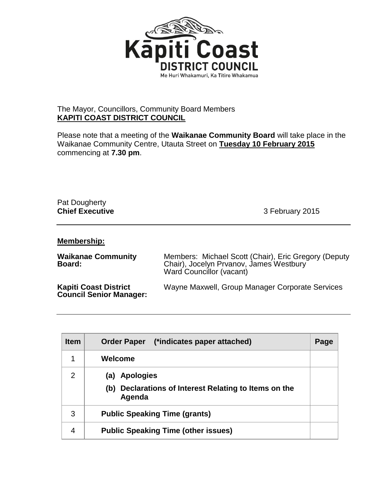

## The Mayor, Councillors, Community Board Members **KAPITI COAST DISTRICT COUNCIL**

Please note that a meeting of the **Waikanae Community Board** will take place in the Waikanae Community Centre, Utauta Street on **Tuesday 10 February 2015** commencing at **7.30 pm**.

## Pat Dougherty<br>Chief Executive

**Chief Executive** 3 February 2015

## **Membership:**

| <b>Waikanae Community</b><br>Board:                            | Members: Michael Scott (Chair), Eric Gregory (Deputy<br>Chair), Jocelyn Prvanov, James Westbury<br>Ward Councillor (vacant) |
|----------------------------------------------------------------|-----------------------------------------------------------------------------------------------------------------------------|
| <b>Kapiti Coast District</b><br><b>Council Senior Manager:</b> | Wayne Maxwell, Group Manager Corporate Services                                                                             |

| <b>Item</b> | (*indicates paper attached)<br><b>Order Paper</b>                                   | Page |
|-------------|-------------------------------------------------------------------------------------|------|
| 1           | Welcome                                                                             |      |
| 2           | (a) Apologies<br>Declarations of Interest Relating to Items on the<br>(b)<br>Agenda |      |
| 3           | <b>Public Speaking Time (grants)</b>                                                |      |
| 4           | <b>Public Speaking Time (other issues)</b>                                          |      |